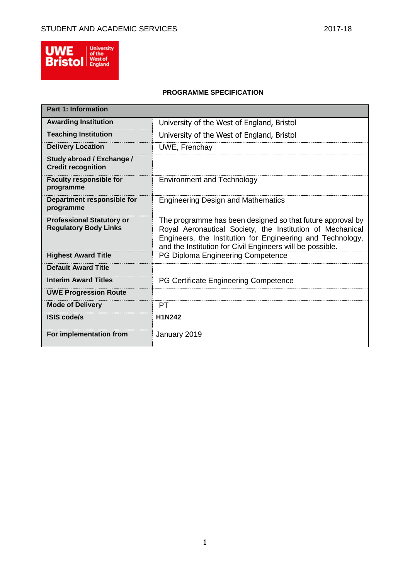

# **PROGRAMME SPECIFICATION**

| <b>Part 1: Information</b>                                       |                                                                                                                                                                                                                                                    |
|------------------------------------------------------------------|----------------------------------------------------------------------------------------------------------------------------------------------------------------------------------------------------------------------------------------------------|
| <b>Awarding Institution</b>                                      | University of the West of England, Bristol                                                                                                                                                                                                         |
| <b>Teaching Institution</b>                                      | University of the West of England, Bristol                                                                                                                                                                                                         |
| <b>Delivery Location</b>                                         | UWE, Frenchay                                                                                                                                                                                                                                      |
| Study abroad / Exchange /<br><b>Credit recognition</b>           |                                                                                                                                                                                                                                                    |
| <b>Faculty responsible for</b><br>programme                      | <b>Environment and Technology</b>                                                                                                                                                                                                                  |
| Department responsible for<br>programme                          | <b>Engineering Design and Mathematics</b>                                                                                                                                                                                                          |
| <b>Professional Statutory or</b><br><b>Regulatory Body Links</b> | The programme has been designed so that future approval by<br>Royal Aeronautical Society, the Institution of Mechanical<br>Engineers, the Institution for Engineering and Technology,<br>and the Institution for Civil Engineers will be possible. |
| <b>Highest Award Title</b>                                       | PG Diploma Engineering Competence                                                                                                                                                                                                                  |
| <b>Default Award Title</b>                                       |                                                                                                                                                                                                                                                    |
| <b>Interim Award Titles</b>                                      | PG Certificate Engineering Competence                                                                                                                                                                                                              |
| <b>UWE Progression Route</b>                                     |                                                                                                                                                                                                                                                    |
| <b>Mode of Delivery</b>                                          | PT                                                                                                                                                                                                                                                 |
| <b>ISIS code/s</b>                                               | H1N242                                                                                                                                                                                                                                             |
| For implementation from                                          | January 2019                                                                                                                                                                                                                                       |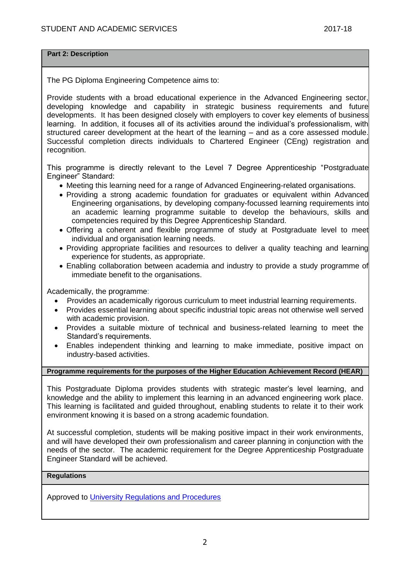### **Part 2: Description**

The PG Diploma Engineering Competence aims to:

Provide students with a broad educational experience in the Advanced Engineering sector, developing knowledge and capability in strategic business requirements and future developments. It has been designed closely with employers to cover key elements of business learning. In addition, it focuses all of its activities around the individual's professionalism, with structured career development at the heart of the learning – and as a core assessed module. Successful completion directs individuals to Chartered Engineer (CEng) registration and recognition.

This programme is directly relevant to the Level 7 Degree Apprenticeship "Postgraduate Engineer" Standard:

- Meeting this learning need for a range of Advanced Engineering-related organisations.
- Providing a strong academic foundation for graduates or equivalent within Advanced Engineering organisations, by developing company-focussed learning requirements into an academic learning programme suitable to develop the behaviours, skills and competencies required by this Degree Apprenticeship Standard.
- Offering a coherent and flexible programme of study at Postgraduate level to meet individual and organisation learning needs.
- Providing appropriate facilities and resources to deliver a quality teaching and learning experience for students, as appropriate.
- Enabling collaboration between academia and industry to provide a study programme of immediate benefit to the organisations.

Academically, the programme:

- Provides an academically rigorous curriculum to meet industrial learning requirements.
- Provides essential learning about specific industrial topic areas not otherwise well served with academic provision.
- Provides a suitable mixture of technical and business-related learning to meet the Standard's requirements.
- Enables independent thinking and learning to make immediate, positive impact on industry-based activities.

### **Programme requirements for the purposes of the Higher Education Achievement Record (HEAR)**

This Postgraduate Diploma provides students with strategic master's level learning, and knowledge and the ability to implement this learning in an advanced engineering work place. This learning is facilitated and guided throughout, enabling students to relate it to their work environment knowing it is based on a strong academic foundation.

At successful completion, students will be making positive impact in their work environments, and will have developed their own professionalism and career planning in conjunction with the needs of the sector. The academic requirement for the Degree Apprenticeship Postgraduate Engineer Standard will be achieved.

### **Regulations**

Approved to [University Regulations and Procedures](http://www1.uwe.ac.uk/students/academicadvice/assessments/regulationsandprocedures.aspx)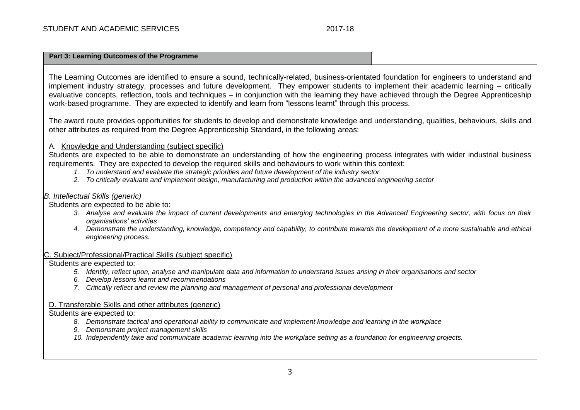## **Part 3: Learning Outcomes of the Programme**

The Learning Outcomes are identified to ensure a sound, technically-related, business-orientated foundation for engineers to understand and implement industry strategy, processes and future development. They empower students to implement their academic learning – critically evaluative concepts, reflection, tools and techniques – in conjunction with the learning they have achieved through the Degree Apprenticeship work-based programme. They are expected to identify and learn from "lessons learnt" through this process.

The award route provides opportunities for students to develop and demonstrate knowledge and understanding, qualities, behaviours, skills and other attributes as required from the Degree Apprenticeship Standard, in the following areas:

## A. Knowledge and Understanding (subject specific)

Students are expected to be able to demonstrate an understanding of how the engineering process integrates with wider industrial business requirements. They are expected to develop the required skills and behaviours to work within this context:

- *1. To understand and evaluate the strategic priorities and future development of the industry sector*
- *2. To critically evaluate and implement design, manufacturing and production within the advanced engineering sector*

## *B. Intellectual Skills (generic)*

Students are expected to be able to:

- *3. Analyse and evaluate the impact of current developments and emerging technologies in the Advanced Engineering sector, with focus on their organisations' activities*
- *4. Demonstrate the understanding, knowledge, competency and capability, to contribute towards the development of a more sustainable and ethical engineering process.*

### C. Subject/Professional/Practical Skills (subject specific)

Students are expected to:

- *5. Identify, reflect upon, analyse and manipulate data and information to understand issues arising in their organisations and sector*
- *6. Develop lessons learnt and recommendations*
- *7. Critically reflect and review the planning and management of personal and professional development*

### D. Transferable Skills and other attributes (generic)

Students are expected to:

- *8. Demonstrate tactical and operational ability to communicate and implement knowledge and learning in the workplace*
- *9. Demonstrate project management skills*
- *10. Independently take and communicate academic learning into the workplace setting as a foundation for engineering projects.*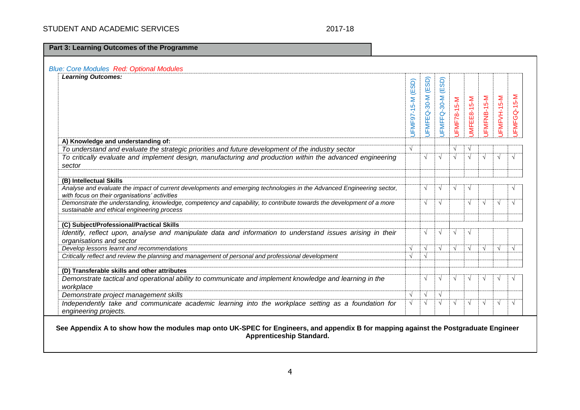# STUDENT AND ACADEMIC SERVICES 2017-18

**Part 3: Learning Outcomes of the Programme**

| <b>Blue: Core Modules Red: Optional Modules</b>                                                                       |                   |               |             |             |             |             |             |            |
|-----------------------------------------------------------------------------------------------------------------------|-------------------|---------------|-------------|-------------|-------------|-------------|-------------|------------|
| <b>Learning Outcomes:</b>                                                                                             |                   |               |             |             |             |             |             |            |
|                                                                                                                       |                   | (ESD)         | (ESD)       |             |             |             |             |            |
|                                                                                                                       |                   |               |             |             |             |             |             |            |
|                                                                                                                       |                   |               |             |             |             |             |             | $5-N$      |
|                                                                                                                       |                   |               |             |             |             |             |             |            |
|                                                                                                                       |                   |               |             |             |             |             |             |            |
|                                                                                                                       | JFMF97-15-M (ESD) | JFMFEQ-30-M   | JFMFFQ-30-M | JFMF78-15-M | JMFEE8-15-M | JFMFNB-15-M | JFMFVH-15-M | FMFGQ-1    |
|                                                                                                                       |                   |               |             |             |             |             |             |            |
|                                                                                                                       |                   |               |             |             |             |             |             |            |
| A) Knowledge and understanding of:                                                                                    |                   |               |             |             |             |             |             |            |
| To understand and evaluate the strategic priorities and future development of the industry sector                     | V                 |               |             | $\sqrt{ }$  |             |             |             |            |
| To critically evaluate and implement design, manufacturing and production within the advanced engineering             |                   | $\sqrt{ }$    | $\sqrt{ }$  | $\sqrt{ }$  | $\sqrt{ }$  | $\sqrt{ }$  | $\sqrt{ }$  | $\sqrt{ }$ |
| sector                                                                                                                |                   |               |             |             |             |             |             |            |
|                                                                                                                       |                   |               |             |             |             |             |             |            |
| (B) Intellectual Skills                                                                                               |                   |               |             |             |             |             |             |            |
| Analyse and evaluate the impact of current developments and emerging technologies in the Advanced Engineering sector, |                   | $\sqrt{ }$    | $\sqrt{ }$  | $\sqrt{ }$  |             |             |             |            |
| with focus on their organisations' activities                                                                         |                   |               |             |             |             |             |             |            |
| Demonstrate the understanding, knowledge, competency and capability, to contribute towards the development of a more  |                   | $\sqrt{ }$    | $\sqrt{ }$  |             | $\sqrt{ }$  | $\sqrt{ }$  | $\sqrt{ }$  | $\sqrt{ }$ |
| sustainable and ethical engineering process                                                                           |                   |               |             |             |             |             |             |            |
| (C) Subject/Professional/Practical Skills                                                                             |                   |               |             |             |             |             |             |            |
| Identify, reflect upon, analyse and manipulate data and information to understand issues arising in their             |                   | $\sqrt{ }$    | $\sqrt{ }$  | $\sqrt{ }$  |             |             |             |            |
| organisations and sector                                                                                              |                   |               |             |             |             |             |             |            |
| Develop lessons learnt and recommendations                                                                            |                   | $\sqrt{ }$    | $\sqrt{ }$  | $\sqrt{ }$  | $\sqrt{ }$  | $\sqrt{ }$  | $\sqrt{ }$  | $\sqrt{ }$ |
| Critically reflect and review the planning and management of personal and professional development                    |                   | $\sqrt{ }$    |             |             |             |             |             |            |
|                                                                                                                       |                   |               |             |             |             |             |             |            |
| (D) Transferable skills and other attributes                                                                          |                   |               |             |             |             |             |             |            |
| Demonstrate tactical and operational ability to communicate and implement knowledge and learning in the               |                   | $\mathcal{N}$ | $\sqrt{ }$  | $\sqrt{ }$  |             |             |             |            |
| workplace                                                                                                             |                   |               |             |             |             |             |             |            |
| Demonstrate project management skills                                                                                 | V                 | $\sqrt{ }$    | $\sqrt{ }$  |             |             |             |             |            |
| Independently take and communicate academic learning into the workplace setting as a foundation for                   | V                 | $\sqrt{ }$    | $\sqrt{ }$  | $\sqrt{ }$  | $\sqrt{ }$  | $\sqrt{ }$  | $\sqrt{ }$  | $\sqrt{ }$ |
| engineering projects.                                                                                                 |                   |               |             |             |             |             |             |            |
|                                                                                                                       |                   |               |             |             |             |             |             |            |

**See Appendix A to show how the modules map onto UK-SPEC for Engineers, and appendix B for mapping against the Postgraduate Engineer Apprenticeship Standard.**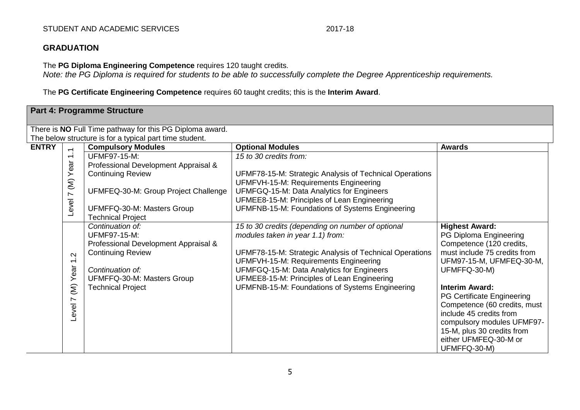# STUDENT AND ACADEMIC SERVICES 2017-18

# **GRADUATION**

The **PG Diploma Engineering Competence** requires 120 taught credits.

*Note: the PG Diploma is required for students to be able to successfully complete the Degree Apprenticeship requirements.*

The **PG Certificate Engineering Competence** requires 60 taught credits; this is the **Interim Award**.

|              |                          | <b>Part 4: Programme Structure</b>                       |                                                         |                              |
|--------------|--------------------------|----------------------------------------------------------|---------------------------------------------------------|------------------------------|
|              |                          | There is NO Full Time pathway for this PG Diploma award. |                                                         |                              |
|              |                          | The below structure is for a typical part time student.  |                                                         |                              |
| <b>ENTRY</b> | $\overline{ }$           | <b>Compulsory Modules</b>                                | <b>Optional Modules</b>                                 | <b>Awards</b>                |
|              | $\overline{ }$           | <b>UFMF97-15-M:</b>                                      | 15 to 30 credits from:                                  |                              |
|              |                          | Professional Development Appraisal &                     |                                                         |                              |
|              | (M) Year                 | <b>Continuing Review</b>                                 | UFMF78-15-M: Strategic Analysis of Technical Operations |                              |
|              |                          |                                                          | UFMFVH-15-M: Requirements Engineering                   |                              |
|              |                          | UFMFEQ-30-M: Group Project Challenge                     | UFMFGQ-15-M: Data Analytics for Engineers               |                              |
|              |                          |                                                          | UFMEE8-15-M: Principles of Lean Engineering             |                              |
|              | Level 7                  | UFMFFQ-30-M: Masters Group                               | UFMFNB-15-M: Foundations of Systems Engineering         |                              |
|              |                          | <b>Technical Project</b>                                 |                                                         |                              |
|              |                          | Continuation of:                                         | 15 to 30 credits (depending on number of optional       | <b>Highest Award:</b>        |
|              |                          | <b>UFMF97-15-M:</b>                                      | modules taken in year 1.1) from:                        | PG Diploma Engineering       |
|              |                          | Professional Development Appraisal &                     |                                                         | Competence (120 credits,     |
|              | Ņ                        | <b>Continuing Review</b>                                 | UFMF78-15-M: Strategic Analysis of Technical Operations | must include 75 credits from |
|              | $\overline{\phantom{0}}$ |                                                          | UFMFVH-15-M: Requirements Engineering                   | UFM97-15-M, UFMFEQ-30-M,     |
|              | Year                     | Continuation of:                                         | UFMFGQ-15-M: Data Analytics for Engineers               | UFMFFQ-30-M)                 |
|              |                          | UFMFFQ-30-M: Masters Group                               | UFMEE8-15-M: Principles of Lean Engineering             |                              |
|              | $\widehat{\epsilon}$     | <b>Technical Project</b>                                 | UFMFNB-15-M: Foundations of Systems Engineering         | <b>Interim Award:</b>        |
|              | $\overline{ }$           |                                                          |                                                         | PG Certificate Engineering   |
|              |                          |                                                          |                                                         | Competence (60 credits, must |
|              | Level                    |                                                          |                                                         | include 45 credits from      |
|              |                          |                                                          |                                                         | compulsory modules UFMF97-   |
|              |                          |                                                          |                                                         | 15-M, plus 30 credits from   |
|              |                          |                                                          |                                                         | either UFMFEQ-30-M or        |
|              |                          |                                                          |                                                         | UFMFFQ-30-M)                 |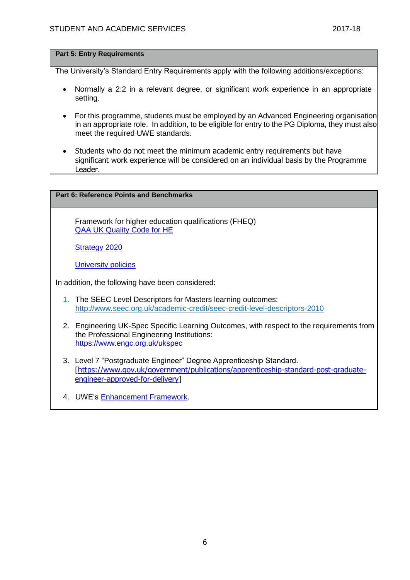### **Part 5: Entry Requirements**

The University's Standard Entry Requirements apply with the following additions/exceptions:

- Normally a 2:2 in a relevant degree, or significant work experience in an appropriate setting.
- For this programme, students must be employed by an Advanced Engineering organisation in an appropriate role. In addition, to be eligible for entry to the PG Diploma, they must also meet the required UWE standards.
- Students who do not meet the minimum academic entry requirements but have significant work experience will be considered on an individual basis by the Programme Leader.

# **Part 6: Reference Points and Benchmarks**

Framework for higher education qualifications (FHEQ) [QAA UK Quality Code for HE](http://www.qaa.ac.uk/assuringstandardsandquality/quality-code/Pages/default.aspx)

[Strategy 2020](http://www1.uwe.ac.uk/about/corporateinformation/strategy.aspx)

[University](http://www1.uwe.ac.uk/aboutus/policies) policies

In addition, the following have been considered:

- 1. The SEEC Level Descriptors for Masters learning outcomes: <http://www.seec.org.uk/academic-credit/seec-credit-level-descriptors-2010>
- 2. Engineering UK-Spec Specific Learning Outcomes, with respect to the requirements from the Professional Engineering Institutions: <https://www.engc.org.uk/ukspec>
- 3. Level 7 "Postgraduate Engineer" Degree Apprenticeship Standard. [\[https://www.gov.uk/government/publications/apprenticeship-standard-post-graduate](https://www.gov.uk/government/publications/apprenticeship-standard-post-graduate-engineer-approved-for-delivery)[engineer-approved-for-delivery\]](https://www.gov.uk/government/publications/apprenticeship-standard-post-graduate-engineer-approved-for-delivery)
- 4. UWE's [Enhancement Framework.](https://www1.uwe.ac.uk/about/departmentsandservices/professionalservices/academicservices/regulationsandquality/enhancementframework.aspx)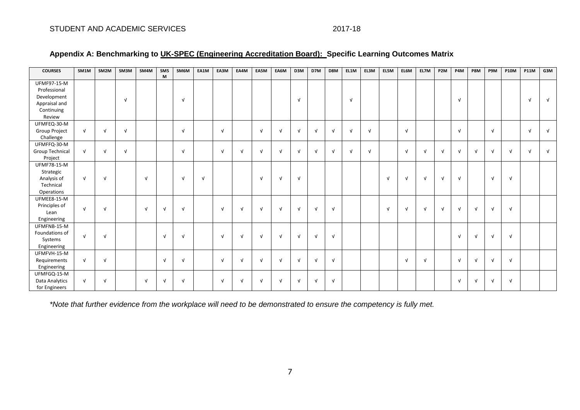| <b>COURSES</b>                                                                             | SM1M       | SM <sub>2M</sub> | SM3M       | SM4M       | SM <sub>5</sub><br>M | SM6M       | EA1M       | EA3M         | EA4M       | EA5M       | EA6M       | D3M        | D7M        | D8M        | EL1M       | EL3M       | EL5M       | EL6M       | EL7M       | P <sub>2M</sub> | P4M        | P8M        | P9M        | <b>P10M</b> | <b>P11M</b> | G3M        |
|--------------------------------------------------------------------------------------------|------------|------------------|------------|------------|----------------------|------------|------------|--------------|------------|------------|------------|------------|------------|------------|------------|------------|------------|------------|------------|-----------------|------------|------------|------------|-------------|-------------|------------|
| <b>UFMF97-15-M</b><br>Professional<br>Development<br>Appraisal and<br>Continuing<br>Review |            |                  | $\sqrt{ }$ |            |                      | $\sqrt{ }$ |            |              |            |            |            | $\sqrt{ }$ |            |            | $\sqrt{ }$ |            |            |            |            |                 | $\sqrt{ }$ |            |            |             | $\sqrt{ }$  | $\sqrt{ }$ |
| UFMFEQ-30-M<br>Group Project<br>Challenge                                                  | $\sqrt{ }$ | $\sqrt{ }$       | $\sqrt{ }$ |            |                      | $\sqrt{ }$ |            | $\sqrt{ }$   |            | $\sqrt{ }$ | $\sqrt{ }$ | $\sqrt{ }$ | $\sqrt{ }$ | $\sqrt{ }$ | $\sqrt{ }$ | $\sqrt{ }$ |            | $\sqrt{ }$ |            |                 | $\sqrt{ }$ |            | $\sqrt{ }$ |             | $\sqrt{ }$  | $\sqrt{ }$ |
| UFMFFQ-30-M<br>Group Technical<br>Project                                                  | $\sqrt{ }$ | $\sqrt{ }$       | $\sqrt{ }$ |            |                      | $\sqrt{ }$ |            | $\sqrt{ }$   | $\sqrt{ }$ | $\sqrt{ }$ | $\sqrt{ }$ | $\sqrt{ }$ | $\sqrt{ }$ | $\sqrt{ }$ | $\sqrt{ }$ | $\sqrt{ }$ |            | $\sqrt{ }$ | $\sqrt{ }$ | $\sqrt{ }$      | $\sqrt{ }$ | $\sqrt{ }$ | $\sqrt{ }$ | $\sqrt{ }$  | $\sqrt{ }$  | $\sqrt{ }$ |
| <b>UFMF78-15-M</b><br>Strategic<br>Analysis of<br>Technical<br>Operations                  | $\sqrt{ }$ | $\sqrt{ }$       |            | $\sqrt{ }$ |                      | $\sqrt{ }$ | $\sqrt{ }$ |              |            | $\sqrt{ }$ | $\sqrt{ }$ | $\sqrt{ }$ |            |            |            |            | $\sqrt{ }$ | $\sqrt{ }$ | $\sqrt{ }$ | $\sqrt{ }$      | $\sqrt{ }$ |            | $\sqrt{ }$ | $\sqrt{ }$  |             |            |
| UFMEE8-15-M<br>Principles of<br>Lean<br>Engineering                                        | $\sqrt{ }$ | $\sqrt{ }$       |            | $\sqrt{ }$ | $\sqrt{ }$           | $\sqrt{ }$ |            | $\sqrt{ }$   | $\sqrt{ }$ | $\sqrt{ }$ | $\sqrt{ }$ | $\sqrt{ }$ | $\sqrt{ }$ | $\sqrt{ }$ |            |            | $\sqrt{ }$ | $\sqrt{ }$ | $\sqrt{ }$ | $\sqrt{ }$      | $\sqrt{ }$ | $\sqrt{ }$ | $\sqrt{ }$ | $\sqrt{ }$  |             |            |
| UFMFNB-15-M<br>Foundations of<br>Systems<br>Engineering                                    | $\sqrt{ }$ | $\sqrt{ }$       |            |            | $\sqrt{ }$           | $\sqrt{ }$ |            | $\sqrt{ }$   | $\sqrt{ }$ | $\sqrt{ }$ | $\sqrt{ }$ | $\sqrt{ }$ | $\sqrt{ }$ | $\sqrt{ }$ |            |            |            |            |            |                 | $\sqrt{ }$ | $\sqrt{ }$ | $\sqrt{ }$ | $\sqrt{ }$  |             |            |
| UFMFVH-15-M<br>Requirements<br>Engineering                                                 | $\sqrt{ }$ | $\sqrt{ }$       |            |            | $\sqrt{ }$           | $\sqrt{ }$ |            | $\sqrt{ }$   | $\sqrt{ }$ | $\sqrt{ }$ | $\sqrt{ }$ | $\sqrt{ }$ | $\sqrt{ }$ | $\sqrt{ }$ |            |            |            | $\sqrt{ }$ | $\sqrt{ }$ |                 | $\sqrt{ }$ | $\sqrt{ }$ | $\sqrt{ }$ | $\sqrt{ }$  |             |            |
| UFMFGQ-15-M<br>Data Analytics<br>for Engineers                                             | $\sqrt{ }$ | $\sqrt{ }$       |            | $\sqrt{ }$ | $\sqrt{ }$           | $\sqrt{ }$ |            | $\mathbf{v}$ | $\sqrt{ }$ | $\sqrt{ }$ | $\sqrt{ }$ | $\sqrt{ }$ | $\sqrt{ }$ | $\sqrt{ }$ |            |            |            |            |            |                 | $\sqrt{ }$ | $\sqrt{ }$ | $\sqrt{ }$ | $\sqrt{ }$  |             |            |

*\*Note that further evidence from the workplace will need to be demonstrated to ensure the competency is fully met.*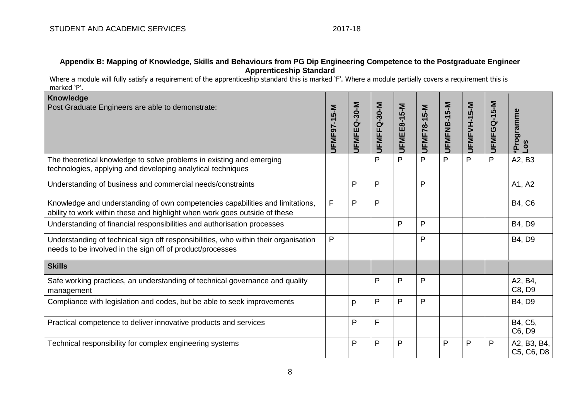## **Appendix B: Mapping of Knowledge, Skills and Behaviours from PG Dip Engineering Competence to the Postgraduate Engineer Apprenticeship Standard**

Where a module will fully satisfy a requirement of the apprenticeship standard this is marked 'F'. Where a module partially covers a requirement this is marked 'P'.

| <b>Knowledge</b><br>Post Graduate Engineers are able to demonstrate:                                                                                        | JFMF97-15-M | JFMFEQ-30-M  | UFMFFQ-30-M | UFMEE8-15-M  | <b>UFMF78-15-M</b> | UFMFNB-15-M | UFMFVH-15-M    | UFMFGQ-15-M | Programme<br>$-05$        |
|-------------------------------------------------------------------------------------------------------------------------------------------------------------|-------------|--------------|-------------|--------------|--------------------|-------------|----------------|-------------|---------------------------|
| The theoretical knowledge to solve problems in existing and emerging<br>technologies, applying and developing analytical techniques                         |             |              | P           | P            | P                  | P           | $\overline{P}$ | P           | A2, B3                    |
| Understanding of business and commercial needs/constraints                                                                                                  |             | P            | P           |              | P                  |             |                |             | A1, A2                    |
| Knowledge and understanding of own competencies capabilities and limitations,<br>ability to work within these and highlight when work goes outside of these | F           | P            | P           |              |                    |             |                |             | <b>B4, C6</b>             |
| Understanding of financial responsibilities and authorisation processes                                                                                     |             |              |             | P            | $\mathsf{P}$       |             |                |             | B4, D9                    |
| Understanding of technical sign off responsibilities, who within their organisation<br>needs to be involved in the sign off of product/processes            | P           |              |             |              | $\mathsf{P}$       |             |                |             | B4, D9                    |
| <b>Skills</b>                                                                                                                                               |             |              |             |              |                    |             |                |             |                           |
| Safe working practices, an understanding of technical governance and quality<br>management                                                                  |             |              | P           | $\mathsf{P}$ | $\mathsf{P}$       |             |                |             | A2, B4,<br>C8, D9         |
| Compliance with legislation and codes, but be able to seek improvements                                                                                     |             | p            | P           | P            | P                  |             |                |             | B4, D9                    |
| Practical competence to deliver innovative products and services                                                                                            |             | $\mathsf{P}$ | F           |              |                    |             |                |             | B4, C5,<br>C6, D9         |
| Technical responsibility for complex engineering systems                                                                                                    |             | P            | P           | P            |                    | P           | P              | P           | A2, B3, B4,<br>C5, C6, D8 |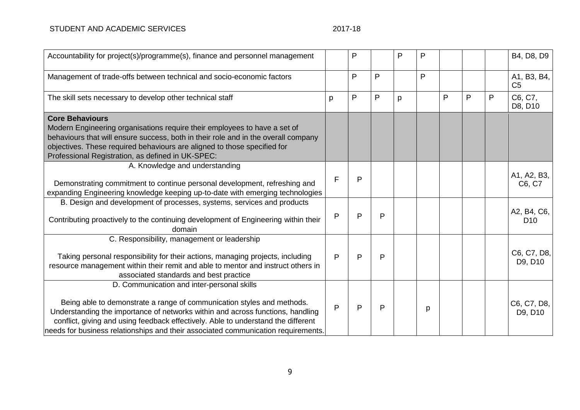| Accountability for project(s)/programme(s), finance and personnel management                                                                                                                                                                                                                                                                                                     |   | P |   | P | P |   |   |   | B4, D8, D9                     |
|----------------------------------------------------------------------------------------------------------------------------------------------------------------------------------------------------------------------------------------------------------------------------------------------------------------------------------------------------------------------------------|---|---|---|---|---|---|---|---|--------------------------------|
| Management of trade-offs between technical and socio-economic factors                                                                                                                                                                                                                                                                                                            |   | P | P |   | P |   |   |   | A1, B3, B4,<br>C <sub>5</sub>  |
| The skill sets necessary to develop other technical staff                                                                                                                                                                                                                                                                                                                        | р | P | P | p |   | P | P | P | C6, C7,<br>D8, D10             |
| <b>Core Behaviours</b><br>Modern Engineering organisations require their employees to have a set of<br>behaviours that will ensure success, both in their role and in the overall company<br>objectives. These required behaviours are aligned to those specified for<br>Professional Registration, as defined in UK-SPEC:                                                       |   |   |   |   |   |   |   |   |                                |
| A. Knowledge and understanding<br>Demonstrating commitment to continue personal development, refreshing and<br>expanding Engineering knowledge keeping up-to-date with emerging technologies                                                                                                                                                                                     | F | P |   |   |   |   |   |   | A1, A2, B3,<br>C6, C7          |
| B. Design and development of processes, systems, services and products<br>Contributing proactively to the continuing development of Engineering within their<br>domain                                                                                                                                                                                                           | P | P | P |   |   |   |   |   | A2, B4, C6,<br>D <sub>10</sub> |
| C. Responsibility, management or leadership<br>Taking personal responsibility for their actions, managing projects, including<br>resource management within their remit and able to mentor and instruct others in<br>associated standards and best practice                                                                                                                      | P | P | P |   |   |   |   |   | C6, C7, D8,<br>D9, D10         |
| D. Communication and inter-personal skills<br>Being able to demonstrate a range of communication styles and methods.<br>Understanding the importance of networks within and across functions, handling<br>conflict, giving and using feedback effectively. Able to understand the different<br>needs for business relationships and their associated communication requirements. | P | P | P |   | p |   |   |   | C6, C7, D8,<br>D9, D10         |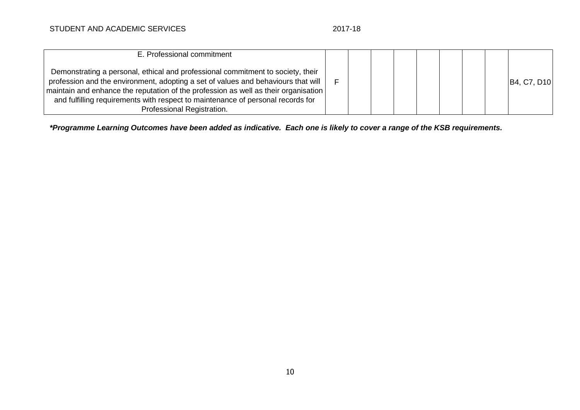| E. Professional commitment                                                                                                                                                                                                                                                                                                                                                   |  |  |  |  |                                                   |
|------------------------------------------------------------------------------------------------------------------------------------------------------------------------------------------------------------------------------------------------------------------------------------------------------------------------------------------------------------------------------|--|--|--|--|---------------------------------------------------|
| Demonstrating a personal, ethical and professional commitment to society, their<br>profession and the environment, adopting a set of values and behaviours that will<br>maintain and enhance the reputation of the profession as well as their organisation<br>and fulfilling requirements with respect to maintenance of personal records for<br>Professional Registration. |  |  |  |  | B <sub>4</sub> , C <sub>7</sub> , D <sub>10</sub> |

*\*Programme Learning Outcomes have been added as indicative. Each one is likely to cover a range of the KSB requirements.*